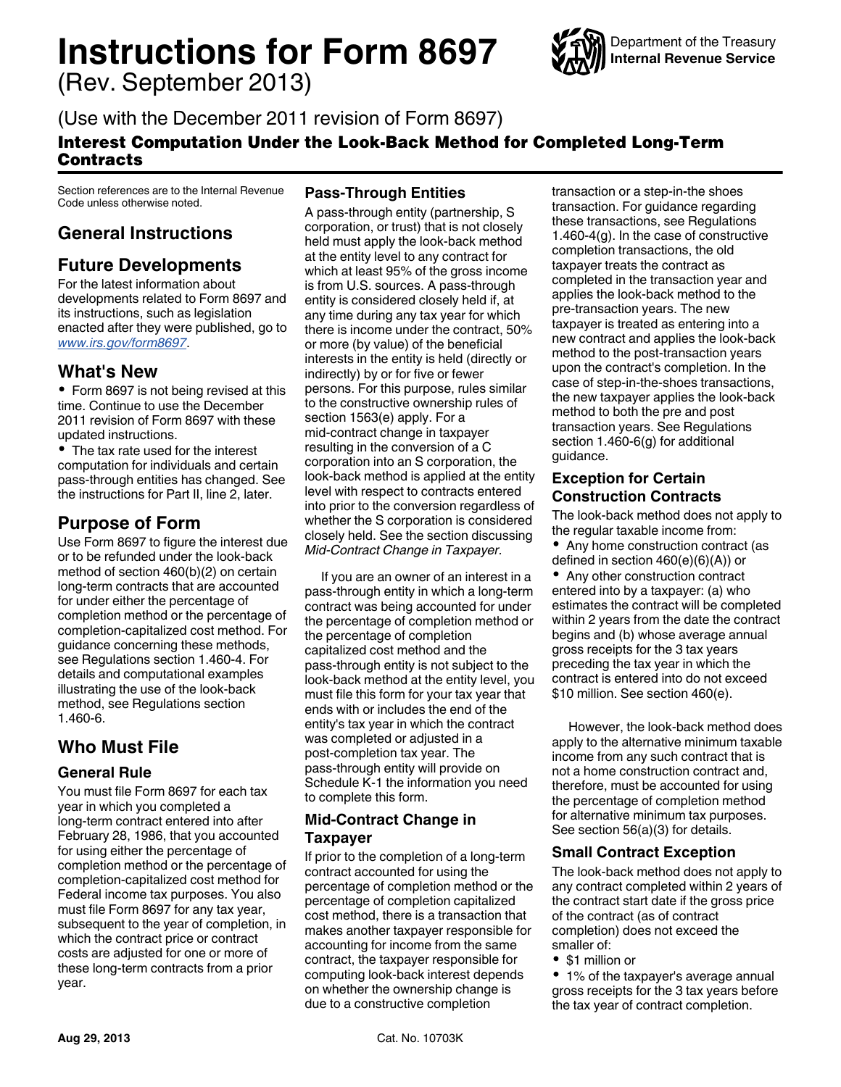# **Instructions for Form 8697**

(Rev. September 2013)



(Use with the December 2011 revision of Form 8697)

### Interest Computation Under the Look-Back Method for Completed Long-Term **Contracts**

Section references are to the Internal Revenue Code unless otherwise noted.

# **General Instructions**

# **Future Developments**

For the latest information about developments related to Form 8697 and its instructions, such as legislation enacted after they were published, go to *[www.irs.gov/form8697](http://www.irs.gov/form8697)*.

## **What's New**

• Form 8697 is not being revised at this time. Continue to use the December 2011 revision of Form 8697 with these updated instructions.

• The tax rate used for the interest computation for individuals and certain pass-through entities has changed. See the instructions for Part II, line 2, later.

## **Purpose of Form**

Use Form 8697 to figure the interest due or to be refunded under the look-back method of section 460(b)(2) on certain long-term contracts that are accounted for under either the percentage of completion method or the percentage of completion-capitalized cost method. For guidance concerning these methods, see Regulations section 1.460-4. For details and computational examples illustrating the use of the look-back method, see Regulations section 1.460-6.

# **Who Must File**

#### **General Rule**

You must file Form 8697 for each tax year in which you completed a long-term contract entered into after February 28, 1986, that you accounted for using either the percentage of completion method or the percentage of completion-capitalized cost method for Federal income tax purposes. You also must file Form 8697 for any tax year, subsequent to the year of completion, in which the contract price or contract costs are adjusted for one or more of these long-term contracts from a prior year.

#### **Pass-Through Entities**

A pass-through entity (partnership, S corporation, or trust) that is not closely held must apply the look-back method at the entity level to any contract for which at least 95% of the gross income is from U.S. sources. A pass-through entity is considered closely held if, at any time during any tax year for which there is income under the contract, 50% or more (by value) of the beneficial interests in the entity is held (directly or indirectly) by or for five or fewer persons. For this purpose, rules similar to the constructive ownership rules of section 1563(e) apply. For a mid-contract change in taxpayer resulting in the conversion of a C corporation into an S corporation, the look-back method is applied at the entity level with respect to contracts entered into prior to the conversion regardless of whether the S corporation is considered closely held. See the section discussing *Mid-Contract Change in Taxpayer.*

If you are an owner of an interest in a pass-through entity in which a long-term contract was being accounted for under the percentage of completion method or the percentage of completion capitalized cost method and the pass-through entity is not subject to the look-back method at the entity level, you must file this form for your tax year that ends with or includes the end of the entity's tax year in which the contract was completed or adjusted in a post-completion tax year. The pass-through entity will provide on Schedule K-1 the information you need to complete this form.

#### **Mid-Contract Change in Taxpayer**

If prior to the completion of a long-term contract accounted for using the percentage of completion method or the percentage of completion capitalized cost method, there is a transaction that makes another taxpayer responsible for accounting for income from the same contract, the taxpayer responsible for computing look-back interest depends on whether the ownership change is due to a constructive completion

transaction or a step-in-the shoes transaction. For guidance regarding these transactions, see Regulations 1.460-4(g). In the case of constructive completion transactions, the old taxpayer treats the contract as completed in the transaction year and applies the look-back method to the pre-transaction years. The new taxpayer is treated as entering into a new contract and applies the look-back method to the post-transaction years upon the contract's completion. In the case of step-in-the-shoes transactions, the new taxpayer applies the look-back method to both the pre and post transaction years. See Regulations section 1.460-6(g) for additional guidance.

#### **Exception for Certain Construction Contracts**

The look-back method does not apply to the regular taxable income from: Any home construction contract (as defined in section 460(e)(6)(A)) or

• Any other construction contract entered into by a taxpayer: (a) who estimates the contract will be completed within 2 years from the date the contract begins and (b) whose average annual gross receipts for the 3 tax years preceding the tax year in which the contract is entered into do not exceed \$10 million. See section 460(e).

However, the look-back method does apply to the alternative minimum taxable income from any such contract that is not a home construction contract and, therefore, must be accounted for using the percentage of completion method for alternative minimum tax purposes. See section 56(a)(3) for details.

## **Small Contract Exception**

The look-back method does not apply to any contract completed within 2 years of the contract start date if the gross price of the contract (as of contract completion) does not exceed the smaller of:

- \$1 million or
- 1% of the taxpayer's average annual gross receipts for the 3 tax years before the tax year of contract completion.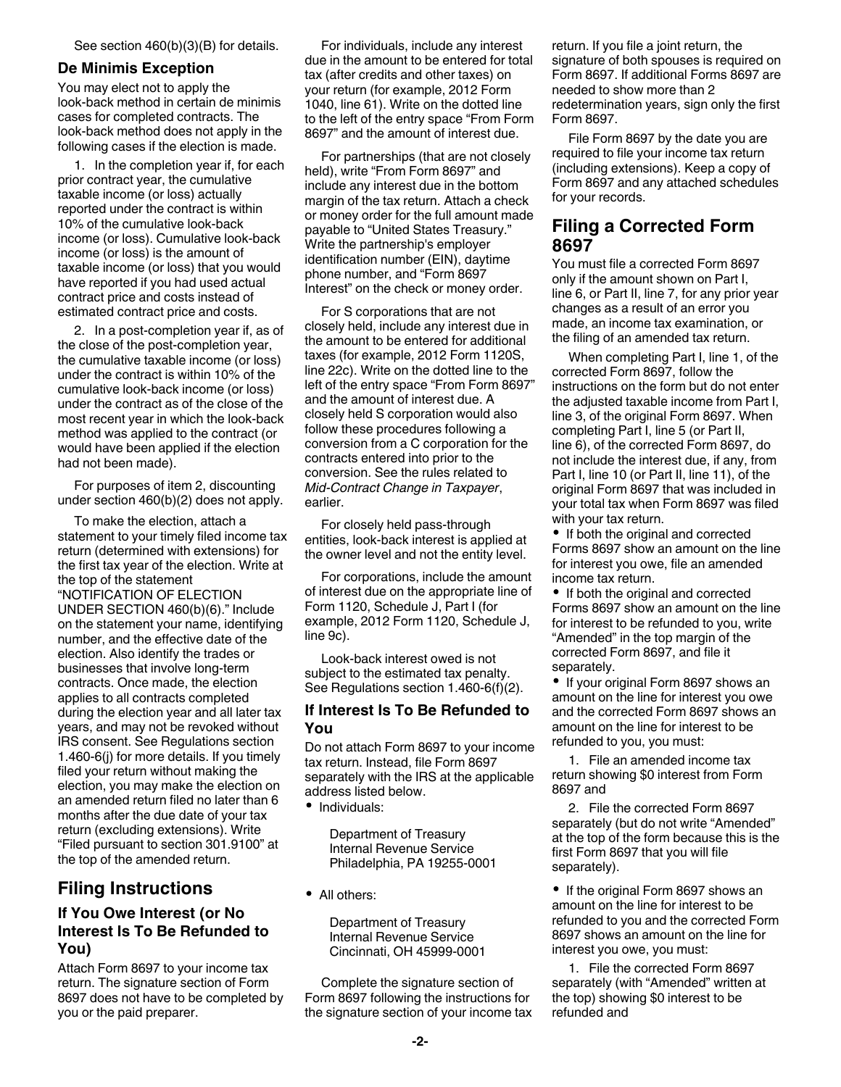#### **De Minimis Exception**

You may elect not to apply the look-back method in certain de minimis cases for completed contracts. The look-back method does not apply in the following cases if the election is made.

1. In the completion year if, for each prior contract year, the cumulative taxable income (or loss) actually reported under the contract is within 10% of the cumulative look-back income (or loss). Cumulative look-back income (or loss) is the amount of taxable income (or loss) that you would have reported if you had used actual contract price and costs instead of estimated contract price and costs.

2. In a post-completion year if, as of the close of the post-completion year, the cumulative taxable income (or loss) under the contract is within 10% of the cumulative look-back income (or loss) under the contract as of the close of the most recent year in which the look-back method was applied to the contract (or would have been applied if the election had not been made).

For purposes of item 2, discounting under section 460(b)(2) does not apply.

To make the election, attach a statement to your timely filed income tax return (determined with extensions) for the first tax year of the election. Write at the top of the statement "NOTIFICATION OF ELECTION UNDER SECTION 460(b)(6)." Include on the statement your name, identifying number, and the effective date of the election. Also identify the trades or businesses that involve long-term contracts. Once made, the election applies to all contracts completed during the election year and all later tax years, and may not be revoked without IRS consent. See Regulations section 1.460-6(j) for more details. If you timely filed your return without making the election, you may make the election on an amended return filed no later than 6 months after the due date of your tax return (excluding extensions). Write "Filed pursuant to section 301.9100" at the top of the amended return.

# **Filing Instructions**

#### **If You Owe Interest (or No Interest Is To Be Refunded to You)**

Attach Form 8697 to your income tax return. The signature section of Form 8697 does not have to be completed by you or the paid preparer.

For individuals, include any interest due in the amount to be entered for total tax (after credits and other taxes) on your return (for example, 2012 Form 1040, line 61). Write on the dotted line to the left of the entry space "From Form 8697" and the amount of interest due.

For partnerships (that are not closely held), write "From Form 8697" and include any interest due in the bottom margin of the tax return. Attach a check or money order for the full amount made payable to "United States Treasury." Write the partnership's employer identification number (EIN), daytime phone number, and "Form 8697 Interest" on the check or money order.

For S corporations that are not closely held, include any interest due in the amount to be entered for additional taxes (for example, 2012 Form 1120S, line 22c). Write on the dotted line to the left of the entry space "From Form 8697" and the amount of interest due. A closely held S corporation would also follow these procedures following a conversion from a C corporation for the contracts entered into prior to the conversion. See the rules related to *Mid-Contract Change in Taxpayer*, earlier.

For closely held pass-through entities, look-back interest is applied at the owner level and not the entity level.

For corporations, include the amount of interest due on the appropriate line of Form 1120, Schedule J, Part I (for example, 2012 Form 1120, Schedule J, line 9c).

Look-back interest owed is not subject to the estimated tax penalty. See Regulations section 1.460-6(f)(2).

#### **If Interest Is To Be Refunded to You**

Do not attach Form 8697 to your income tax return. Instead, file Form 8697 separately with the IRS at the applicable address listed below.

• Individuals:

Department of Treasury Internal Revenue Service Philadelphia, PA 19255-0001

• All others:

Department of Treasury Internal Revenue Service Cincinnati, OH 45999-0001

Complete the signature section of Form 8697 following the instructions for the signature section of your income tax return. If you file a joint return, the signature of both spouses is required on Form 8697. If additional Forms 8697 are needed to show more than 2 redetermination years, sign only the first Form 8697.

File Form 8697 by the date you are required to file your income tax return (including extensions). Keep a copy of Form 8697 and any attached schedules for your records.

#### **Filing a Corrected Form 8697**

You must file a corrected Form 8697 only if the amount shown on Part I, line 6, or Part II, line 7, for any prior year changes as a result of an error you made, an income tax examination, or the filing of an amended tax return.

When completing Part I, line 1, of the corrected Form 8697, follow the instructions on the form but do not enter the adjusted taxable income from Part I, line 3, of the original Form 8697. When completing Part I, line 5 (or Part II, line 6), of the corrected Form 8697, do not include the interest due, if any, from Part I, line 10 (or Part II, line 11), of the original Form 8697 that was included in your total tax when Form 8697 was filed with your tax return.

• If both the original and corrected Forms 8697 show an amount on the line for interest you owe, file an amended income tax return.

• If both the original and corrected Forms 8697 show an amount on the line for interest to be refunded to you, write "Amended" in the top margin of the corrected Form 8697, and file it separately.

• If your original Form 8697 shows an amount on the line for interest you owe and the corrected Form 8697 shows an amount on the line for interest to be refunded to you, you must:

1. File an amended income tax return showing \$0 interest from Form 8697 and

2. File the corrected Form 8697 separately (but do not write "Amended" at the top of the form because this is the first Form 8697 that you will file separately).

• If the original Form 8697 shows an amount on the line for interest to be refunded to you and the corrected Form 8697 shows an amount on the line for interest you owe, you must:

1. File the corrected Form 8697 separately (with "Amended" written at the top) showing \$0 interest to be refunded and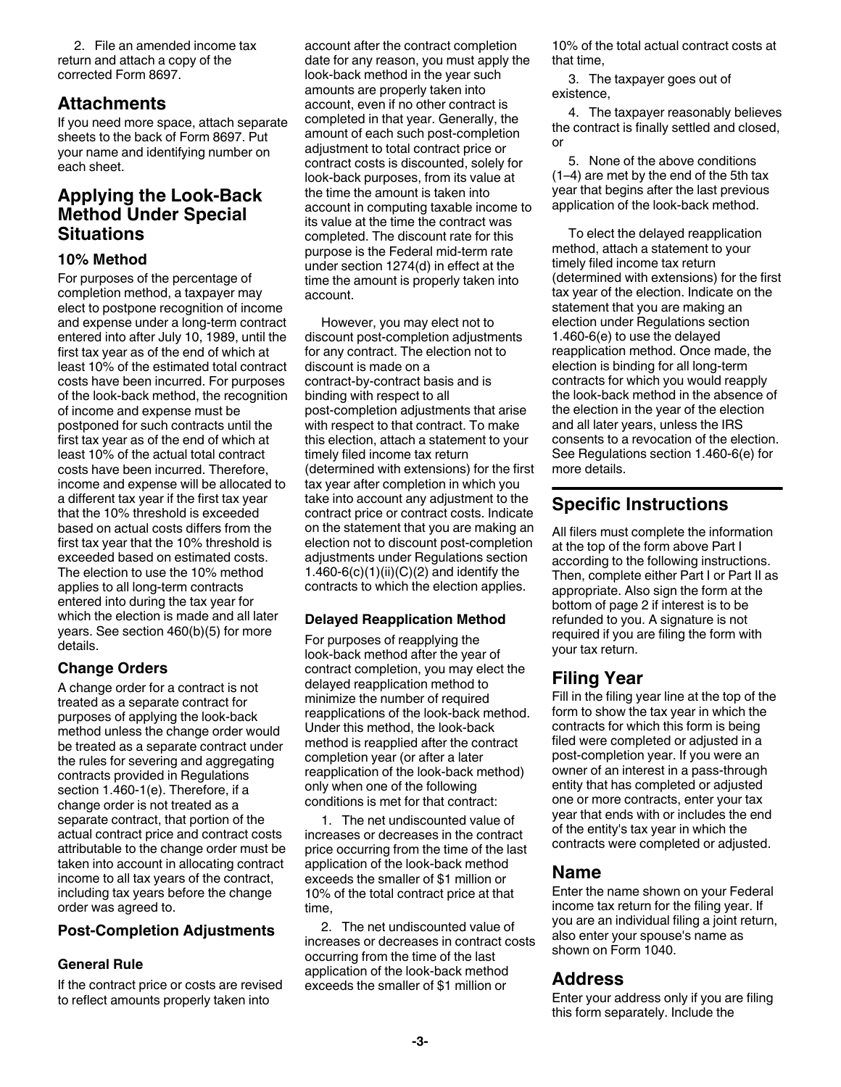2. File an amended income tax return and attach a copy of the corrected Form 8697.

## **Attachments**

If you need more space, attach separate sheets to the back of Form 8697. Put your name and identifying number on each sheet.

## **Applying the Look-Back Method Under Special Situations**

#### **10% Method**

For purposes of the percentage of completion method, a taxpayer may elect to postpone recognition of income and expense under a long-term contract entered into after July 10, 1989, until the first tax year as of the end of which at least 10% of the estimated total contract costs have been incurred. For purposes of the look-back method, the recognition of income and expense must be postponed for such contracts until the first tax year as of the end of which at least 10% of the actual total contract costs have been incurred. Therefore, income and expense will be allocated to a different tax year if the first tax year that the 10% threshold is exceeded based on actual costs differs from the first tax year that the 10% threshold is exceeded based on estimated costs. The election to use the 10% method applies to all long-term contracts entered into during the tax year for which the election is made and all later years. See section 460(b)(5) for more details.

#### **Change Orders**

A change order for a contract is not treated as a separate contract for purposes of applying the look-back method unless the change order would be treated as a separate contract under the rules for severing and aggregating contracts provided in Regulations section 1.460-1(e). Therefore, if a change order is not treated as a separate contract, that portion of the actual contract price and contract costs attributable to the change order must be taken into account in allocating contract income to all tax years of the contract, including tax years before the change order was agreed to.

#### **Post-Completion Adjustments**

#### **General Rule**

If the contract price or costs are revised to reflect amounts properly taken into

account after the contract completion date for any reason, you must apply the look-back method in the year such amounts are properly taken into account, even if no other contract is completed in that year. Generally, the amount of each such post-completion adjustment to total contract price or contract costs is discounted, solely for look-back purposes, from its value at the time the amount is taken into account in computing taxable income to its value at the time the contract was completed. The discount rate for this purpose is the Federal mid-term rate under section 1274(d) in effect at the time the amount is properly taken into account.

However, you may elect not to discount post-completion adjustments for any contract. The election not to discount is made on a contract-by-contract basis and is binding with respect to all post-completion adjustments that arise with respect to that contract. To make this election, attach a statement to your timely filed income tax return (determined with extensions) for the first tax year after completion in which you take into account any adjustment to the contract price or contract costs. Indicate on the statement that you are making an election not to discount post-completion adjustments under Regulations section 1.460-6(c)(1)(ii)(C)(2) and identify the contracts to which the election applies.

#### **Delayed Reapplication Method**

For purposes of reapplying the look-back method after the year of contract completion, you may elect the delayed reapplication method to minimize the number of required reapplications of the look-back method. Under this method, the look-back method is reapplied after the contract completion year (or after a later reapplication of the look-back method) only when one of the following conditions is met for that contract:

1. The net undiscounted value of increases or decreases in the contract price occurring from the time of the last application of the look-back method exceeds the smaller of \$1 million or 10% of the total contract price at that time,

2. The net undiscounted value of increases or decreases in contract costs occurring from the time of the last application of the look-back method exceeds the smaller of \$1 million or

10% of the total actual contract costs at that time,

3. The taxpayer goes out of existence,

4. The taxpayer reasonably believes the contract is finally settled and closed, or

5. None of the above conditions (1–4) are met by the end of the 5th tax year that begins after the last previous application of the look-back method.

To elect the delayed reapplication method, attach a statement to your timely filed income tax return (determined with extensions) for the first tax year of the election. Indicate on the statement that you are making an election under Regulations section 1.460-6(e) to use the delayed reapplication method. Once made, the election is binding for all long-term contracts for which you would reapply the look-back method in the absence of the election in the year of the election and all later years, unless the IRS consents to a revocation of the election. See Regulations section 1.460-6(e) for more details.

# **Specific Instructions**

All filers must complete the information at the top of the form above Part I according to the following instructions. Then, complete either Part I or Part II as appropriate. Also sign the form at the bottom of page 2 if interest is to be refunded to you. A signature is not required if you are filing the form with your tax return.

# **Filing Year**

Fill in the filing year line at the top of the form to show the tax year in which the contracts for which this form is being filed were completed or adjusted in a post-completion year. If you were an owner of an interest in a pass-through entity that has completed or adjusted one or more contracts, enter your tax year that ends with or includes the end of the entity's tax year in which the contracts were completed or adjusted.

## **Name**

Enter the name shown on your Federal income tax return for the filing year. If you are an individual filing a joint return, also enter your spouse's name as shown on Form 1040.

## **Address**

Enter your address only if you are filing this form separately. Include the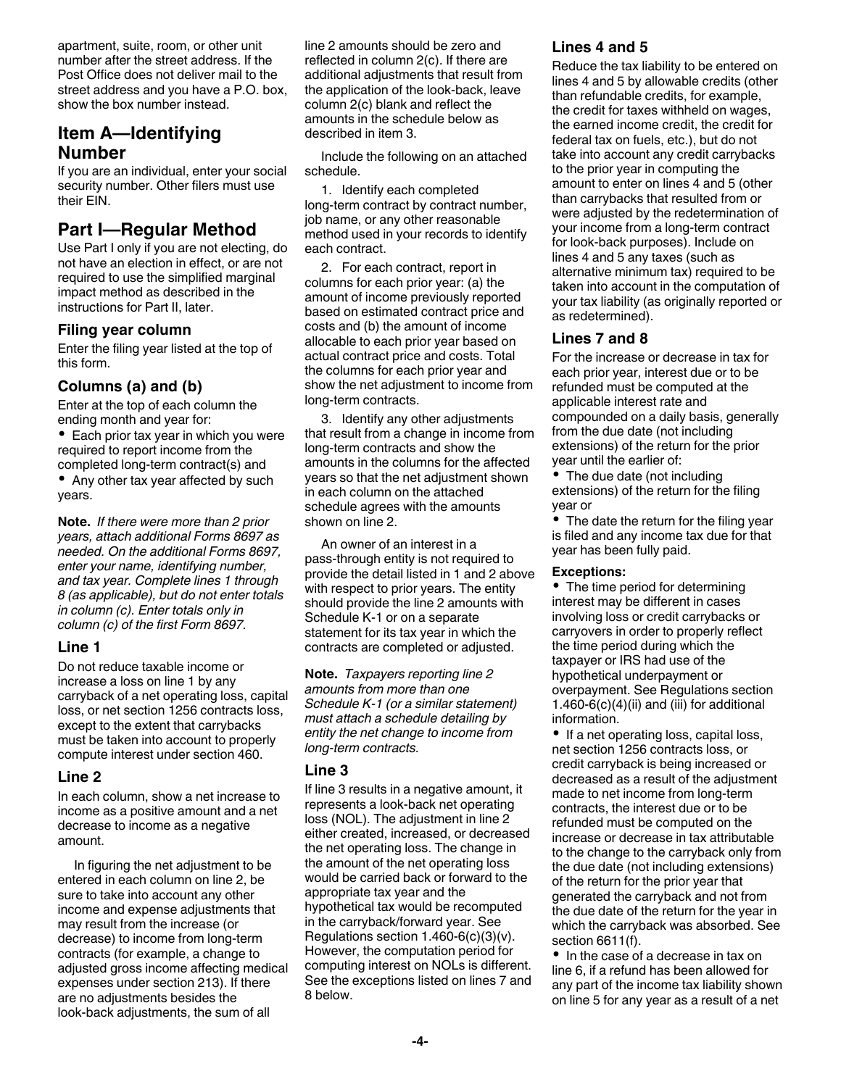apartment, suite, room, or other unit number after the street address. If the Post Office does not deliver mail to the street address and you have a P.O. box, show the box number instead.

## **Item A—Identifying Number**

If you are an individual, enter your social security number. Other filers must use their EIN.

## **Part I—Regular Method**

Use Part I only if you are not electing, do not have an election in effect, or are not required to use the simplified marginal impact method as described in the instructions for Part II, later.

#### **Filing year column**

Enter the filing year listed at the top of this form.

#### **Columns (a) and (b)**

Enter at the top of each column the ending month and year for:

• Each prior tax year in which you were required to report income from the completed long-term contract(s) and • Any other tax year affected by such

years.

**Note.** *If there were more than 2 prior years, attach additional Forms 8697 as needed. On the additional Forms 8697, enter your name, identifying number, and tax year. Complete lines 1 through 8 (as applicable), but do not enter totals in column (c). Enter totals only in column (c) of the first Form 8697.*

#### **Line 1**

Do not reduce taxable income or increase a loss on line 1 by any carryback of a net operating loss, capital loss, or net section 1256 contracts loss, except to the extent that carrybacks must be taken into account to properly compute interest under section 460.

#### **Line 2**

In each column, show a net increase to income as a positive amount and a net decrease to income as a negative amount.

In figuring the net adjustment to be entered in each column on line 2, be sure to take into account any other income and expense adjustments that may result from the increase (or decrease) to income from long-term contracts (for example, a change to adjusted gross income affecting medical expenses under section 213). If there are no adjustments besides the look-back adjustments, the sum of all

line 2 amounts should be zero and reflected in column 2(c). If there are additional adjustments that result from the application of the look-back, leave column 2(c) blank and reflect the amounts in the schedule below as described in item 3.

Include the following on an attached schedule.

1. Identify each completed long-term contract by contract number, job name, or any other reasonable method used in your records to identify each contract.

2. For each contract, report in columns for each prior year: (a) the amount of income previously reported based on estimated contract price and costs and (b) the amount of income allocable to each prior year based on actual contract price and costs. Total the columns for each prior year and show the net adjustment to income from long-term contracts.

3. Identify any other adjustments that result from a change in income from long-term contracts and show the amounts in the columns for the affected years so that the net adjustment shown in each column on the attached schedule agrees with the amounts shown on line 2.

An owner of an interest in a pass-through entity is not required to provide the detail listed in 1 and 2 above with respect to prior years. The entity should provide the line 2 amounts with Schedule K-1 or on a separate statement for its tax year in which the contracts are completed or adjusted.

**Note.** *Taxpayers reporting line 2 amounts from more than one Schedule K-1 (or a similar statement) must attach a schedule detailing by entity the net change to income from long-term contracts.*

#### **Line 3**

If line 3 results in a negative amount, it represents a look-back net operating loss (NOL). The adjustment in line 2 either created, increased, or decreased the net operating loss. The change in the amount of the net operating loss would be carried back or forward to the appropriate tax year and the hypothetical tax would be recomputed in the carryback/forward year. See Regulations section 1.460-6(c)(3)(v). However, the computation period for computing interest on NOLs is different. See the exceptions listed on lines 7 and 8 below.

#### **Lines 4 and 5**

Reduce the tax liability to be entered on lines 4 and 5 by allowable credits (other than refundable credits, for example, the credit for taxes withheld on wages, the earned income credit, the credit for federal tax on fuels, etc.), but do not take into account any credit carrybacks to the prior year in computing the amount to enter on lines 4 and 5 (other than carrybacks that resulted from or were adjusted by the redetermination of your income from a long-term contract for look-back purposes). Include on lines 4 and 5 any taxes (such as alternative minimum tax) required to be taken into account in the computation of your tax liability (as originally reported or as redetermined).

#### **Lines 7 and 8**

For the increase or decrease in tax for each prior year, interest due or to be refunded must be computed at the applicable interest rate and compounded on a daily basis, generally from the due date (not including extensions) of the return for the prior year until the earlier of:

• The due date (not including extensions) of the return for the filing year or

• The date the return for the filing year is filed and any income tax due for that year has been fully paid.

#### **Exceptions:**

• The time period for determining interest may be different in cases involving loss or credit carrybacks or carryovers in order to properly reflect the time period during which the taxpayer or IRS had use of the hypothetical underpayment or overpayment. See Regulations section 1.460-6 $(c)(4)(ii)$  and  $(iii)$  for additional information.

• If a net operating loss, capital loss, net section 1256 contracts loss, or credit carryback is being increased or decreased as a result of the adjustment made to net income from long-term contracts, the interest due or to be refunded must be computed on the increase or decrease in tax attributable to the change to the carryback only from the due date (not including extensions) of the return for the prior year that generated the carryback and not from the due date of the return for the year in which the carryback was absorbed. See section 6611(f).

• In the case of a decrease in tax on line 6, if a refund has been allowed for any part of the income tax liability shown on line 5 for any year as a result of a net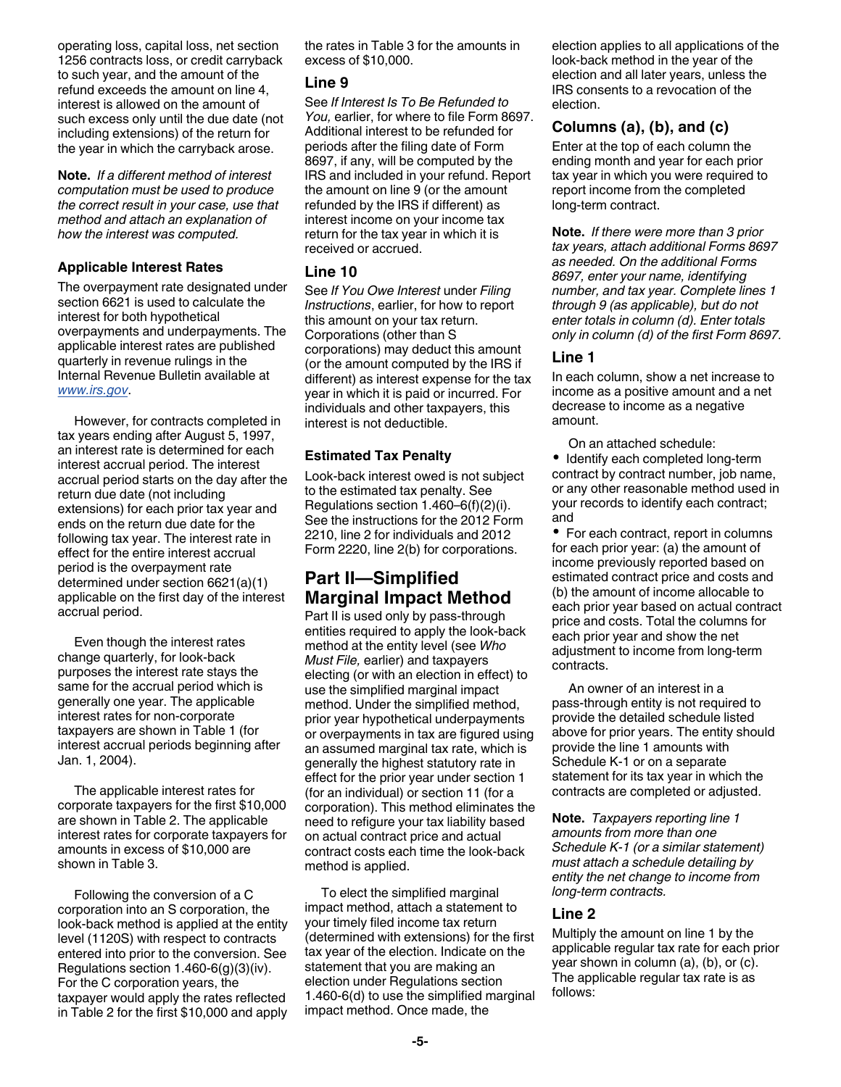operating loss, capital loss, net section 1256 contracts loss, or credit carryback to such year, and the amount of the refund exceeds the amount on line 4, interest is allowed on the amount of such excess only until the due date (not including extensions) of the return for the year in which the carryback arose.

**Note.** *If a different method of interest computation must be used to produce the correct result in your case, use that method and attach an explanation of how the interest was computed.*

#### **Applicable Interest Rates**

The overpayment rate designated under section 6621 is used to calculate the interest for both hypothetical overpayments and underpayments. The applicable interest rates are published quarterly in revenue rulings in the Internal Revenue Bulletin available at *[www.irs.gov](http://www.irs.gov)*.

However, for contracts completed in tax years ending after August 5, 1997, an interest rate is determined for each interest accrual period. The interest accrual period starts on the day after the return due date (not including extensions) for each prior tax year and ends on the return due date for the following tax year. The interest rate in effect for the entire interest accrual period is the overpayment rate determined under section 6621(a)(1) applicable on the first day of the interest accrual period.

Even though the interest rates change quarterly, for look-back purposes the interest rate stays the same for the accrual period which is generally one year. The applicable interest rates for non-corporate taxpayers are shown in Table 1 (for interest accrual periods beginning after Jan. 1, 2004).

The applicable interest rates for corporate taxpayers for the first \$10,000 are shown in Table 2. The applicable interest rates for corporate taxpayers for amounts in excess of \$10,000 are shown in Table 3.

Following the conversion of a C corporation into an S corporation, the look-back method is applied at the entity level (1120S) with respect to contracts entered into prior to the conversion. See Regulations section 1.460-6(g)(3)(iv). For the C corporation years, the taxpayer would apply the rates reflected in Table 2 for the first \$10,000 and apply

the rates in Table 3 for the amounts in excess of \$10,000.

#### **Line 9**

See *If Interest Is To Be Refunded to You,* earlier, for where to file Form 8697. Additional interest to be refunded for periods after the filing date of Form 8697, if any, will be computed by the IRS and included in your refund. Report the amount on line 9 (or the amount refunded by the IRS if different) as interest income on your income tax return for the tax year in which it is received or accrued.

#### **Line 10**

See *If You Owe Interest* under *Filing Instructions*, earlier, for how to report this amount on your tax return. Corporations (other than S corporations) may deduct this amount (or the amount computed by the IRS if different) as interest expense for the tax year in which it is paid or incurred. For individuals and other taxpayers, this interest is not deductible.

#### **Estimated Tax Penalty**

Look-back interest owed is not subject to the estimated tax penalty. See Regulations section 1.460–6(f)(2)(i). See the instructions for the 2012 Form 2210, line 2 for individuals and 2012 Form 2220, line 2(b) for corporations.

# **Part II—Simplified Marginal Impact Method**

Part II is used only by pass-through entities required to apply the look-back method at the entity level (see *Who Must File,* earlier) and taxpayers electing (or with an election in effect) to use the simplified marginal impact method. Under the simplified method, prior year hypothetical underpayments or overpayments in tax are figured using an assumed marginal tax rate, which is generally the highest statutory rate in effect for the prior year under section 1 (for an individual) or section 11 (for a corporation). This method eliminates the need to refigure your tax liability based on actual contract price and actual contract costs each time the look-back method is applied.

To elect the simplified marginal impact method, attach a statement to your timely filed income tax return (determined with extensions) for the first tax year of the election. Indicate on the statement that you are making an election under Regulations section 1.460-6(d) to use the simplified marginal impact method. Once made, the

election applies to all applications of the look-back method in the year of the election and all later years, unless the IRS consents to a revocation of the election.

#### **Columns (a), (b), and (c)**

Enter at the top of each column the ending month and year for each prior tax year in which you were required to report income from the completed long-term contract.

**Note.** *If there were more than 3 prior tax years, attach additional Forms 8697 as needed. On the additional Forms 8697, enter your name, identifying number, and tax year. Complete lines 1 through 9 (as applicable), but do not enter totals in column (d). Enter totals only in column (d) of the first Form 8697.*

#### **Line 1**

In each column, show a net increase to income as a positive amount and a net decrease to income as a negative amount.

On an attached schedule:

• Identify each completed long-term contract by contract number, job name, or any other reasonable method used in your records to identify each contract; and

• For each contract, report in columns for each prior year: (a) the amount of income previously reported based on estimated contract price and costs and (b) the amount of income allocable to each prior year based on actual contract price and costs. Total the columns for each prior year and show the net adjustment to income from long-term contracts.

An owner of an interest in a pass-through entity is not required to provide the detailed schedule listed above for prior years. The entity should provide the line 1 amounts with Schedule K-1 or on a separate statement for its tax year in which the contracts are completed or adjusted.

**Note.** *Taxpayers reporting line 1 amounts from more than one Schedule K-1 (or a similar statement) must attach a schedule detailing by entity the net change to income from long-term contracts.*

#### **Line 2**

Multiply the amount on line 1 by the applicable regular tax rate for each prior year shown in column (a), (b), or (c). The applicable regular tax rate is as follows: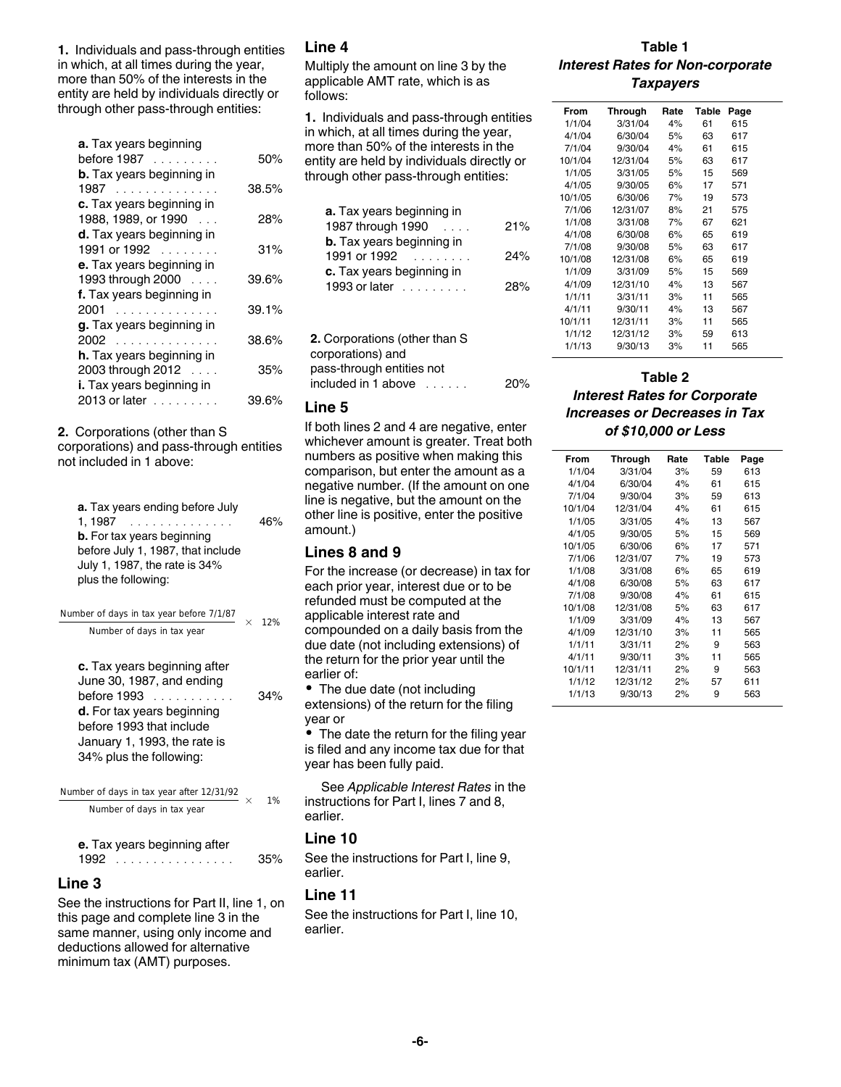**1.** Individuals and pass-through entities in which, at all times during the year, more than 50% of the interests in the entity are held by individuals directly or through other pass-through entities:

| <b>a.</b> Tax years beginning<br>before 1987<br><b>b.</b> Tax years beginning in | 50%   |
|----------------------------------------------------------------------------------|-------|
| 1987                                                                             | 38.5% |
| c. Tax years beginning in<br>1988, 1989, or 1990<br>$\sim$ $\sim$ $\sim$         | 28%   |
| d. Tax years beginning in<br>1991 or 1992                                        | 31%   |
| e. Tax years beginning in<br>1993 through 2000                                   | 39.6% |
| f. Tax years beginning in<br>2001                                                | 39.1% |
| g. Tax years beginning in<br>2002                                                | 38.6% |
| h. Tax years beginning in<br>2003 through 2012                                   | 35%   |
| i. Tax years beginning in                                                        |       |
| 2013 or later                                                                    | 39.6% |

**2.** Corporations (other than S

corporations) and pass-through entities not included in 1 above:

| a. Tax years ending before July<br>1.1987<br><b>b.</b> For tax years beginning<br>before July 1, 1987, that include<br>July 1, 1987, the rate is 34% | 46% |
|------------------------------------------------------------------------------------------------------------------------------------------------------|-----|
| plus the following:                                                                                                                                  |     |

| Number of days in tax year before 7/1/87                                                                                                                                                             | $\times$ | 12% |
|------------------------------------------------------------------------------------------------------------------------------------------------------------------------------------------------------|----------|-----|
| Number of days in tax year                                                                                                                                                                           |          |     |
| c. Tax years beginning after<br>June 30, 1987, and ending<br>before 1993<br><b>d.</b> For tax years beginning<br>before 1993 that include<br>January 1, 1993, the rate is<br>34% plus the following: |          | 34% |
| Number of days in tax year after 12/31/92<br>Number of days in tax year                                                                                                                              | $\times$ | 1%  |
| متمازيد والمستدعات والمتلا<br>-- -4--                                                                                                                                                                |          |     |

|      | e. Tax years beginning after |     |
|------|------------------------------|-----|
| 1992 | .                            | 35% |

#### **Line 3**

See the instructions for Part II, line 1, on this page and complete line 3 in the same manner, using only income and deductions allowed for alternative minimum tax (AMT) purposes.

#### **Line 4**

Multiply the amount on line 3 by the applicable AMT rate, which is as follows:

**1.** Individuals and pass-through entities in which, at all times during the year, more than 50% of the interests in the entity are held by individuals directly or through other pass-through entities:

| <b>a.</b> Tax years beginning in |     |
|----------------------------------|-----|
| 1987 through 1990<br>$\sim$      | 21% |
| <b>b.</b> Tax years beginning in |     |
| 1991 or 1992                     | 24% |
| c. Tax years beginning in        |     |
| 1993 or later                    | 28% |
|                                  |     |

| <b>2.</b> Corporations (other than S |     |
|--------------------------------------|-----|
| corporations) and                    |     |
| pass-through entities not            |     |
| included in 1 above $\ldots$         | 20% |
|                                      |     |

#### **Line 5**

If both lines 2 and 4 are negative, enter whichever amount is greater. Treat both numbers as positive when making this comparison, but enter the amount as a negative number. (If the amount on one line is negative, but the amount on the other line is positive, enter the positive amount.)

#### **Lines 8 and 9**

For the increase (or decrease) in tax for each prior year, interest due or to be refunded must be computed at the applicable interest rate and compounded on a daily basis from the due date (not including extensions) of the return for the prior year until the earlier of:

• The due date (not including extensions) of the return for the filing year or

• The date the return for the filing year is filed and any income tax due for that year has been fully paid.

See *Applicable Interest Rates* in the instructions for Part I, lines 7 and 8, earlier.

#### **Line 10**

See the instructions for Part I, line 9, earlier.

#### **Line 11**

See the instructions for Part I, line 10, earlier.

**Table 1** *Interest Rates for Non-corporate Taxpayers* 

| From    | <b>Through</b> | Rate | <b>Table</b> | Page |
|---------|----------------|------|--------------|------|
| 1/1/04  | 3/31/04        | 4%   | 61           | 615  |
| 4/1/04  | 6/30/04        | 5%   | 63           | 617  |
| 7/1/04  | 9/30/04        | 4%   | 61           | 615  |
| 10/1/04 | 12/31/04       | 5%   | 63           | 617  |
| 1/1/05  | 3/31/05        | 5%   | 15           | 569  |
| 4/1/05  | 9/30/05        | 6%   | 17           | 571  |
| 10/1/05 | 6/30/06        | 7%   | 19           | 573  |
| 7/1/06  | 12/31/07       | 8%   | 21           | 575  |
| 1/1/08  | 3/31/08        | 7%   | 67           | 621  |
| 4/1/08  | 6/30/08        | 6%   | 65           | 619  |
| 7/1/08  | 9/30/08        | 5%   | 63           | 617  |
| 10/1/08 | 12/31/08       | 6%   | 65           | 619  |
| 1/1/09  | 3/31/09        | 5%   | 15           | 569  |
| 4/1/09  | 12/31/10       | 4%   | 13           | 567  |
| 1/1/11  | 3/31/11        | 3%   | 11           | 565  |
| 4/1/11  | 9/30/11        | 4%   | 13           | 567  |
| 10/1/11 | 12/31/11       | 3%   | 11           | 565  |
| 1/1/12  | 12/31/12       | 3%   | 59           | 613  |
| 1/1/13  | 9/30/13        | 3%   | 11           | 565  |

#### **Table 2** *Interest Rates for Corporate Increases or Decreases in Tax of \$10,000 or Less*

| From    | <b>Through</b> | Rate | <b>Table</b> | Page |  |
|---------|----------------|------|--------------|------|--|
| 1/1/04  | 3/31/04        | 3%   | 59           | 613  |  |
| 4/1/04  | 6/30/04        | 4%   | 61           | 615  |  |
| 7/1/04  | 9/30/04        | 3%   | 59           | 613  |  |
| 10/1/04 | 12/31/04       | 4%   | 61           | 615  |  |
| 1/1/05  | 3/31/05        | 4%   | 13           | 567  |  |
| 4/1/05  | 9/30/05        | 5%   | 15           | 569  |  |
| 10/1/05 | 6/30/06        | 6%   | 17           | 571  |  |
| 7/1/06  | 12/31/07       | 7%   | 19           | 573  |  |
| 1/1/08  | 3/31/08        | 6%   | 65           | 619  |  |
| 4/1/08  | 6/30/08        | 5%   | 63           | 617  |  |
| 7/1/08  | 9/30/08        | 4%   | 61           | 615  |  |
| 10/1/08 | 12/31/08       | 5%   | 63           | 617  |  |
| 1/1/09  | 3/31/09        | 4%   | 13           | 567  |  |
| 4/1/09  | 12/31/10       | 3%   | 11           | 565  |  |
| 1/1/11  | 3/31/11        | 2%   | 9            | 563  |  |
| 4/1/11  | 9/30/11        | 3%   | 11           | 565  |  |
| 10/1/11 | 12/31/11       | 2%   | 9            | 563  |  |
| 1/1/12  | 12/31/12       | 2%   | 57           | 611  |  |
| 1/1/13  | 9/30/13        | 2%   | 9            | 563  |  |